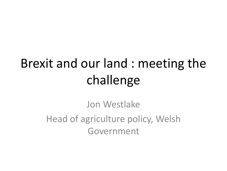# Brexit and our land : meeting the challenge

Jon Westlake Head of agriculture policy, Welsh Government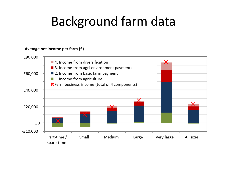#### Background farm data

#### Average net income per farm (£)

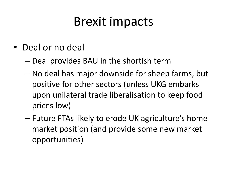#### Brexit impacts

- Deal or no deal
	- Deal provides BAU in the shortish term
	- No deal has major downside for sheep farms, but positive for other sectors (unless UKG embarks upon unilateral trade liberalisation to keep food prices low)
	- Future FTAs likely to erode UK agriculture's home market position (and provide some new market opportunities)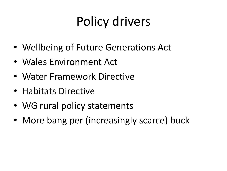# Policy drivers

- Wellbeing of Future Generations Act
- Wales Environment Act
- Water Framework Directive
- Habitats Directive
- WG rural policy statements
- More bang per (increasingly scarce) buck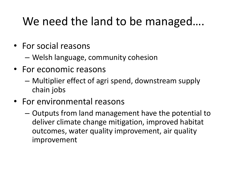#### We need the land to be managed….

- For social reasons
	- Welsh language, community cohesion
- For economic reasons
	- Multiplier effect of agri spend, downstream supply chain jobs
- For environmental reasons
	- Outputs from land management have the potential to deliver climate change mitigation, improved habitat outcomes, water quality improvement, air quality improvement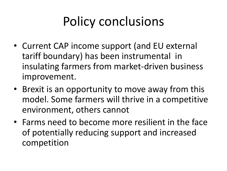# Policy conclusions

- Current CAP income support (and EU external tariff boundary) has been instrumental in insulating farmers from market-driven business improvement.
- Brexit is an opportunity to move away from this model. Some farmers will thrive in a competitive environment, others cannot
- Farms need to become more resilient in the face of potentially reducing support and increased competition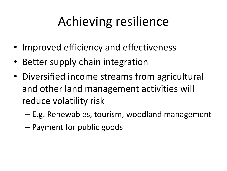# Achieving resilience

- Improved efficiency and effectiveness
- Better supply chain integration
- Diversified income streams from agricultural and other land management activities will reduce volatility risk
	- E.g. Renewables, tourism, woodland management
	- Payment for public goods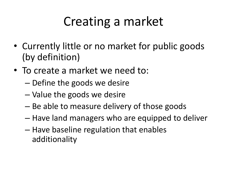# Creating a market

- Currently little or no market for public goods (by definition)
- To create a market we need to:
	- Define the goods we desire
	- Value the goods we desire
	- Be able to measure delivery of those goods
	- Have land managers who are equipped to deliver
	- Have baseline regulation that enables additionality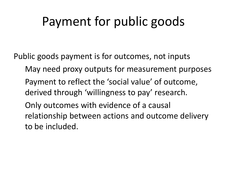### Payment for public goods

Public goods payment is for outcomes, not inputs May need proxy outputs for measurement purposes Payment to reflect the 'social value' of outcome, derived through 'willingness to pay' research. Only outcomes with evidence of a causal relationship between actions and outcome delivery to be included.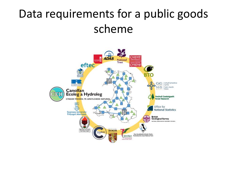#### Data requirements for a public goods scheme

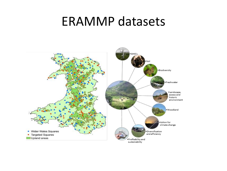#### ERAMMP datasets

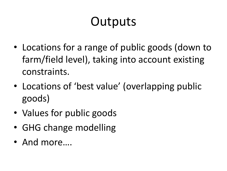# **Outputs**

- Locations for a range of public goods (down to farm/field level), taking into account existing constraints.
- Locations of 'best value' (overlapping public goods)
- Values for public goods
- GHG change modelling
- And more….